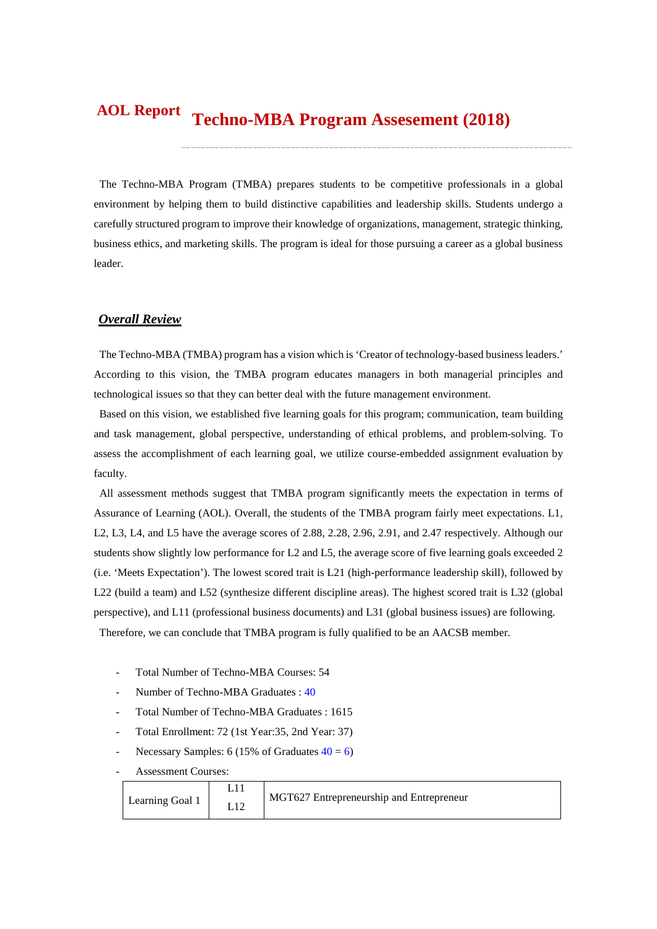#### **Techno-MBA Program Assesement (2018) AOL Report**

The Techno-MBA Program (TMBA) prepares students to be competitive professionals in a global environment by helping them to build distinctive capabilities and leadership skills. Students undergo a carefully structured program to improve their knowledge of organizations, management, strategic thinking, business ethics, and marketing skills. The program is ideal for those pursuing a career as a global business leader.

### *Overall Review*

The Techno-MBA (TMBA) program has a vision which is 'Creator of technology-based business leaders.' According to this vision, the TMBA program educates managers in both managerial principles and technological issues so that they can better deal with the future management environment.

Based on this vision, we established five learning goals for this program; communication, team building and task management, global perspective, understanding of ethical problems, and problem-solving. To assess the accomplishment of each learning goal, we utilize course-embedded assignment evaluation by faculty.

All assessment methods suggest that TMBA program significantly meets the expectation in terms of Assurance of Learning (AOL). Overall, the students of the TMBA program fairly meet expectations. L1, L2, L3, L4, and L5 have the average scores of 2.88, 2.28, 2.96, 2.91, and 2.47 respectively. Although our students show slightly low performance for L2 and L5, the average score of five learning goals exceeded 2 (i.e. 'Meets Expectation'). The lowest scored trait is L21 (high-performance leadership skill), followed by L22 (build a team) and L52 (synthesize different discipline areas). The highest scored trait is L32 (global perspective), and L11 (professional business documents) and L31 (global business issues) are following. Therefore, we can conclude that TMBA program is fully qualified to be an AACSB member.

- Total Number of Techno-MBA Courses: 54
- Number of Techno-MBA Graduates : 40
- Total Number of Techno-MBA Graduates : 1615
- Total Enrollment: 72 (1st Year:35, 2nd Year: 37)
- Necessary Samples: 6 (15% of Graduates  $40 = 6$ )
- Assessment Courses:

| Learning Goal 1 | MGT627 Entrepreneurship and Entrepreneur |
|-----------------|------------------------------------------|
|                 |                                          |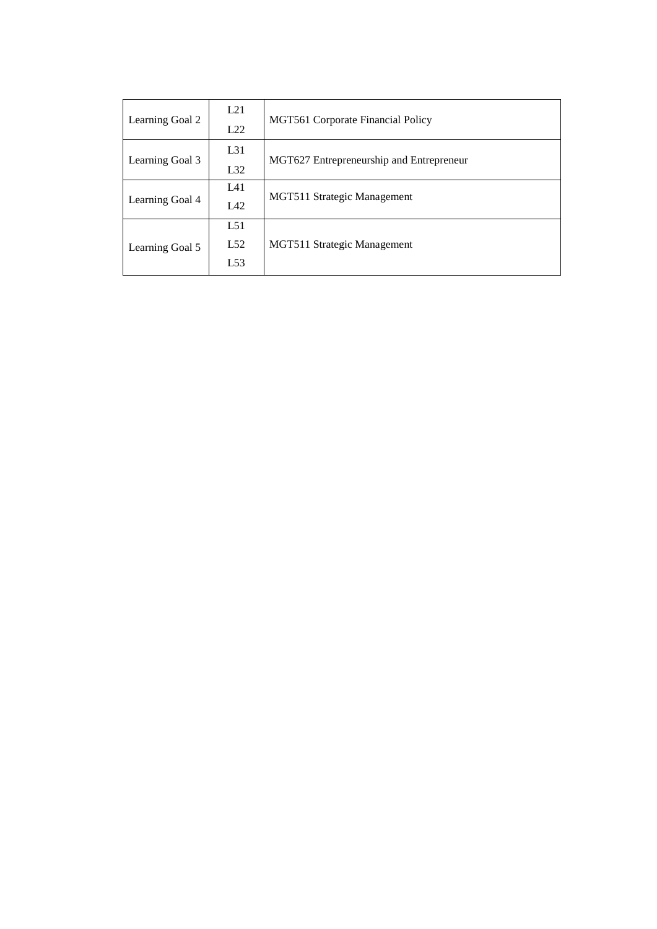| Learning Goal 2 | L21      | MGT561 Corporate Financial Policy        |  |  |
|-----------------|----------|------------------------------------------|--|--|
|                 | L22      |                                          |  |  |
| Learning Goal 3 | $L_{31}$ | MGT627 Entrepreneurship and Entrepreneur |  |  |
|                 | L32      |                                          |  |  |
|                 | L41      | MGT511 Strategic Management              |  |  |
| Learning Goal 4 | L42      |                                          |  |  |
|                 | L51      |                                          |  |  |
| Learning Goal 5 | L52      | MGT511 Strategic Management              |  |  |
|                 | L53      |                                          |  |  |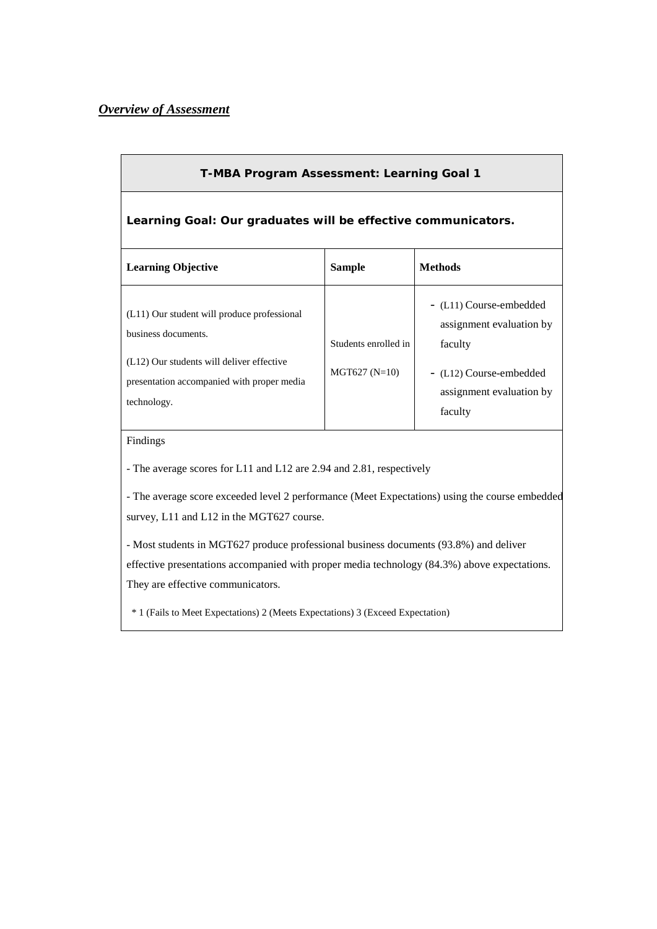## *Overview of Assessment*

| T-MBA Program Assessment: Learning Goal 1                                                                                                                                    |                                         |                                                                                                                                  |  |  |  |  |
|------------------------------------------------------------------------------------------------------------------------------------------------------------------------------|-----------------------------------------|----------------------------------------------------------------------------------------------------------------------------------|--|--|--|--|
| Learning Goal: Our graduates will be effective communicators.                                                                                                                |                                         |                                                                                                                                  |  |  |  |  |
| <b>Learning Objective</b>                                                                                                                                                    | <b>Sample</b>                           | <b>Methods</b>                                                                                                                   |  |  |  |  |
| (L11) Our student will produce professional<br>business documents.<br>(L12) Our students will deliver effective<br>presentation accompanied with proper media<br>technology. | Students enrolled in<br>$MGT627 (N=10)$ | - (L11) Course-embedded<br>assignment evaluation by<br>faculty<br>- (L12) Course-embedded<br>assignment evaluation by<br>faculty |  |  |  |  |
| Findings<br>- The average scores for L11 and L12 are 2.94 and 2.81, respectively                                                                                             |                                         |                                                                                                                                  |  |  |  |  |
| - The average score exceeded level 2 performance (Meet Expectations) using the course embedded<br>survey, L11 and L12 in the MGT627 course.                                  |                                         |                                                                                                                                  |  |  |  |  |

- Most students in MGT627 produce professional business documents (93.8%) and deliver effective presentations accompanied with proper media technology (84.3%) above expectations. They are effective communicators.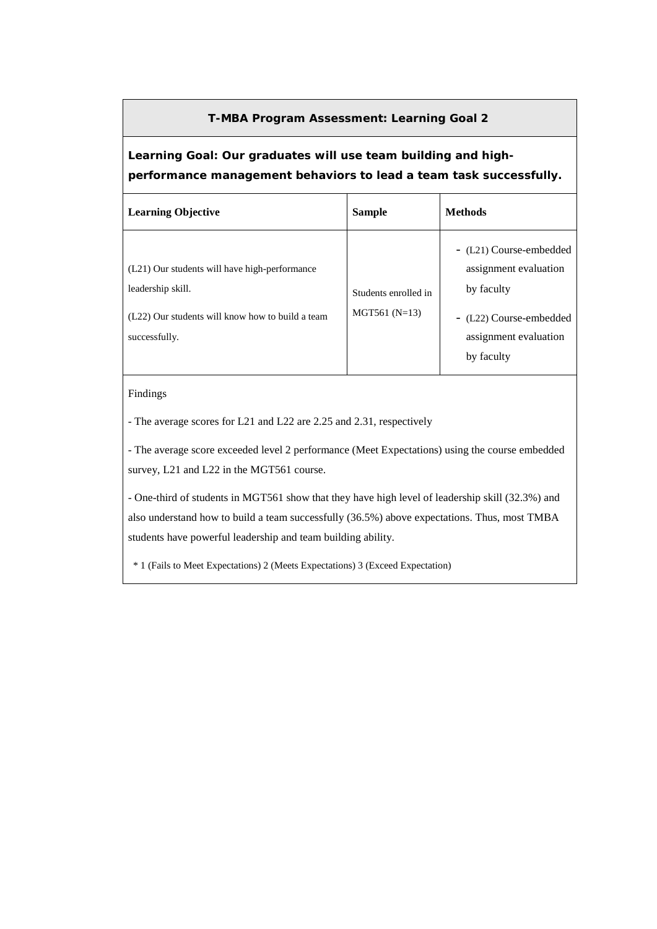# **Learning Goal: Our graduates will use team building and highperformance management behaviors to lead a team task successfully.**

| <b>Learning Objective</b>                                                                                                               | <b>Sample</b>                           | <b>Methods</b>                                                                                                                   |
|-----------------------------------------------------------------------------------------------------------------------------------------|-----------------------------------------|----------------------------------------------------------------------------------------------------------------------------------|
| (L21) Our students will have high-performance<br>leadership skill.<br>(L22) Our students will know how to build a team<br>successfully. | Students enrolled in<br>$MGT561 (N=13)$ | - (L21) Course-embedded<br>assignment evaluation<br>by faculty<br>- (L22) Course-embedded<br>assignment evaluation<br>by faculty |

### Findings

- The average scores for L21 and L22 are 2.25 and 2.31, respectively

- The average score exceeded level 2 performance (Meet Expectations) using the course embedded survey, L21 and L22 in the MGT561 course.

- One-third of students in MGT561 show that they have high level of leadership skill (32.3%) and also understand how to build a team successfully (36.5%) above expectations. Thus, most TMBA students have powerful leadership and team building ability.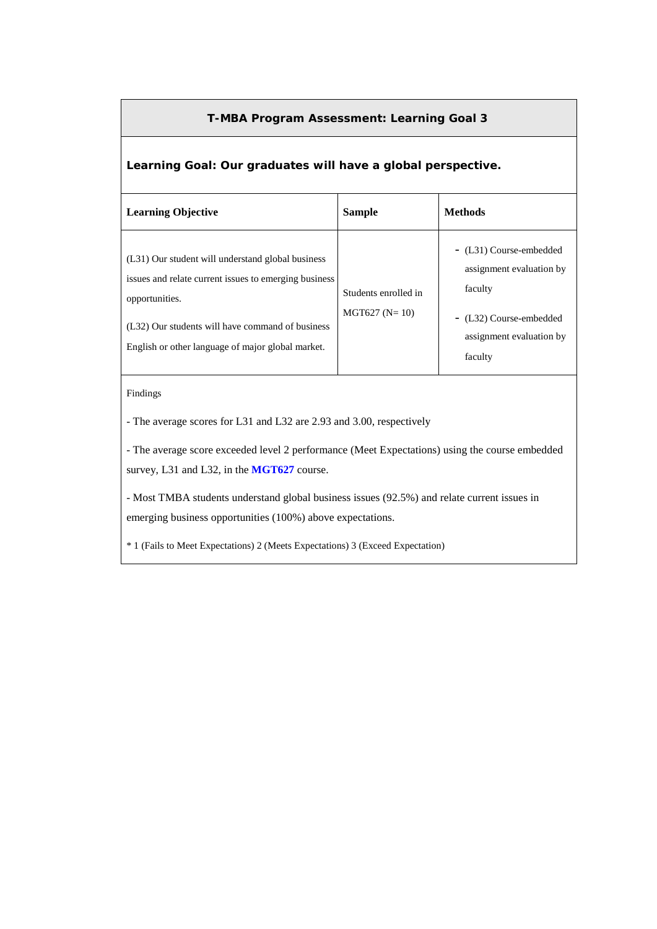# **Learning Goal: Our graduates will have a global perspective.**

| <b>Learning Objective</b>                                                                                                                                                                                                             | <b>Sample</b>                           | <b>Methods</b>                                                                                                                   |
|---------------------------------------------------------------------------------------------------------------------------------------------------------------------------------------------------------------------------------------|-----------------------------------------|----------------------------------------------------------------------------------------------------------------------------------|
| (L31) Our student will understand global business<br>issues and relate current issues to emerging business<br>opportunities.<br>(L32) Our students will have command of business<br>English or other language of major global market. | Students enrolled in<br>$MGT627 (N=10)$ | - (L31) Course-embedded<br>assignment evaluation by<br>faculty<br>- (L32) Course-embedded<br>assignment evaluation by<br>faculty |

### Findings

- The average scores for L31 and L32 are 2.93 and 3.00, respectively

- The average score exceeded level 2 performance (Meet Expectations) using the course embedded survey, L31 and L32, in the **MGT627** course.

- Most TMBA students understand global business issues (92.5%) and relate current issues in emerging business opportunities (100%) above expectations.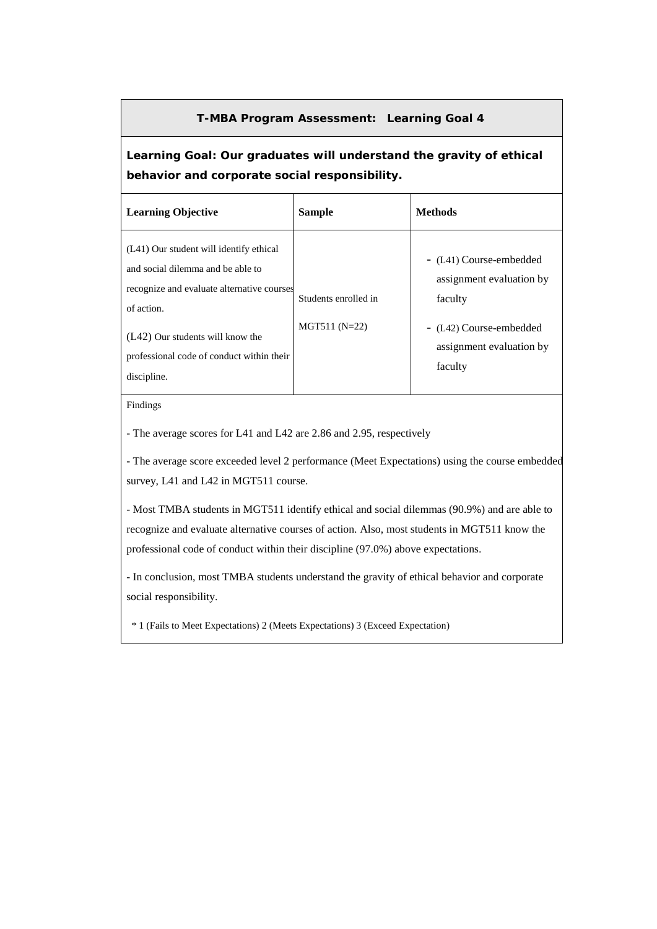### **Learning Goal: Our graduates will understand the gravity of ethical behavior and corporate social responsibility.**

| <b>Learning Objective</b>                                                                                                                                                                                                                | <b>Sample</b>                           | <b>Methods</b>                                                                                                                   |
|------------------------------------------------------------------------------------------------------------------------------------------------------------------------------------------------------------------------------------------|-----------------------------------------|----------------------------------------------------------------------------------------------------------------------------------|
| (L41) Our student will identify ethical<br>and social dilemma and be able to<br>recognize and evaluate alternative courses<br>of action.<br>(L42) Our students will know the<br>professional code of conduct within their<br>discipline. | Students enrolled in<br>$MGT511 (N=22)$ | - (L41) Course-embedded<br>assignment evaluation by<br>faculty<br>- (L42) Course-embedded<br>assignment evaluation by<br>faculty |

#### Findings

- The average scores for L41 and L42 are 2.86 and 2.95, respectively

- The average score exceeded level 2 performance (Meet Expectations) using the course embedded survey, L41 and L42 in MGT511 course.

- Most TMBA students in MGT511 identify ethical and social dilemmas (90.9%) and are able to recognize and evaluate alternative courses of action. Also, most students in MGT511 know the professional code of conduct within their discipline (97.0%) above expectations.

- In conclusion, most TMBA students understand the gravity of ethical behavior and corporate social responsibility.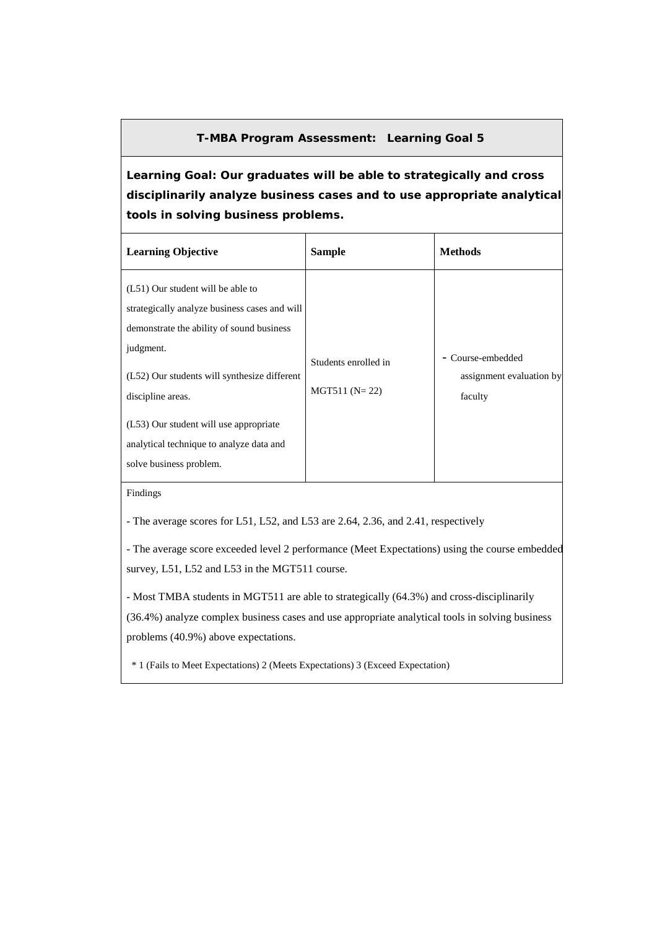**Learning Goal: Our graduates will be able to strategically and cross disciplinarily analyze business cases and to use appropriate analytical tools in solving business problems.**

| <b>Learning Objective</b>                                                                                                                                                                                                                                                                                                          | <b>Sample</b>                           | <b>Methods</b>                                           |
|------------------------------------------------------------------------------------------------------------------------------------------------------------------------------------------------------------------------------------------------------------------------------------------------------------------------------------|-----------------------------------------|----------------------------------------------------------|
| (L51) Our student will be able to<br>strategically analyze business cases and will<br>demonstrate the ability of sound business<br>judgment.<br>(L52) Our students will synthesize different<br>discipline areas.<br>(L53) Our student will use appropriate<br>analytical technique to analyze data and<br>solve business problem. | Students enrolled in<br>$MGT511 (N=22)$ | - Course-embedded<br>assignment evaluation by<br>faculty |

Findings

- The average scores for L51, L52, and L53 are 2.64, 2.36, and 2.41, respectively

- The average score exceeded level 2 performance (Meet Expectations) using the course embedded survey, L51, L52 and L53 in the MGT511 course.

- Most TMBA students in MGT511 are able to strategically (64.3%) and cross-disciplinarily (36.4%) analyze complex business cases and use appropriate analytical tools in solving business problems (40.9%) above expectations.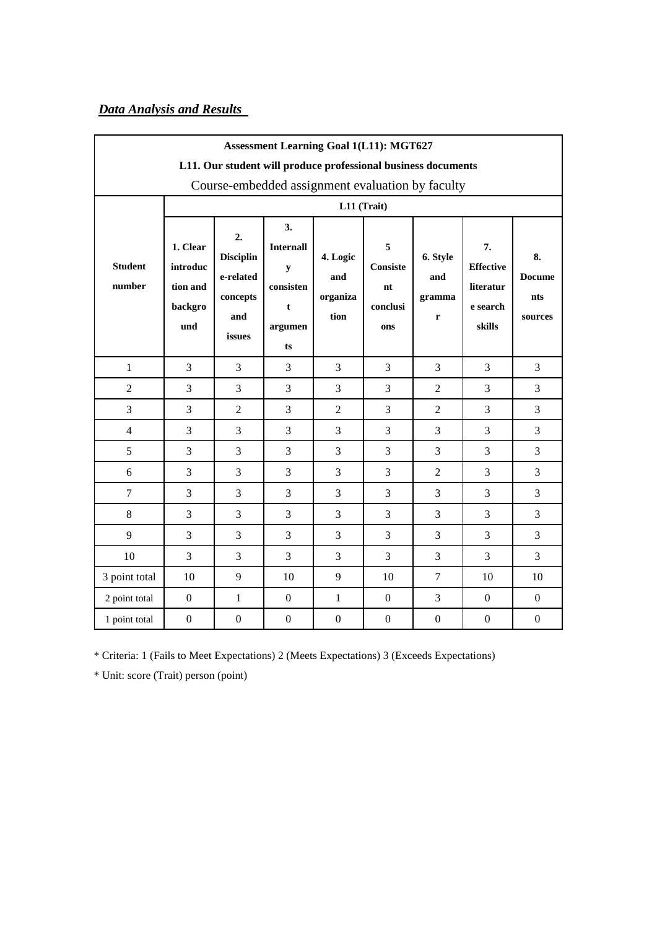# *Data Analysis and Results*

|                                                               | <b>Assessment Learning Goal 1(L11): MGT627</b>     |                                                                  |                                                                                    |                                                  |                                               |                                |                                                           |                                       |  |
|---------------------------------------------------------------|----------------------------------------------------|------------------------------------------------------------------|------------------------------------------------------------------------------------|--------------------------------------------------|-----------------------------------------------|--------------------------------|-----------------------------------------------------------|---------------------------------------|--|
| L11. Our student will produce professional business documents |                                                    |                                                                  |                                                                                    |                                                  |                                               |                                |                                                           |                                       |  |
|                                                               |                                                    |                                                                  |                                                                                    | Course-embedded assignment evaluation by faculty |                                               |                                |                                                           |                                       |  |
|                                                               |                                                    |                                                                  |                                                                                    | L11 (Trait)                                      |                                               |                                |                                                           |                                       |  |
| <b>Student</b><br>number                                      | 1. Clear<br>introduc<br>tion and<br>backgro<br>und | 2.<br><b>Disciplin</b><br>e-related<br>concepts<br>and<br>issues | 3.<br><b>Internall</b><br>$\mathbf y$<br>consisten<br>$\mathbf t$<br>argumen<br>ts | 4. Logic<br>and<br>organiza<br>tion              | 5<br><b>Consiste</b><br>nt<br>conclusi<br>ons | 6. Style<br>and<br>gramma<br>r | 7.<br><b>Effective</b><br>literatur<br>e search<br>skills | 8.<br><b>Docume</b><br>nts<br>sources |  |
| $\mathbf{1}$                                                  | 3                                                  | 3                                                                | 3                                                                                  | 3                                                | 3                                             | 3                              | $\overline{3}$                                            | $\overline{3}$                        |  |
| $\overline{2}$                                                | 3                                                  | 3                                                                | 3                                                                                  | 3                                                | 3                                             | $\overline{2}$                 | 3                                                         | $\overline{3}$                        |  |
| 3                                                             | 3                                                  | $\overline{2}$                                                   | 3                                                                                  | $\overline{2}$                                   | 3                                             | $\overline{2}$                 | 3                                                         | 3                                     |  |
| $\overline{4}$                                                | 3                                                  | 3                                                                | 3                                                                                  | 3                                                | 3                                             | 3                              | 3                                                         | 3                                     |  |
| 5                                                             | 3                                                  | 3                                                                | 3                                                                                  | 3                                                | 3                                             | 3                              | 3                                                         | 3                                     |  |
| 6                                                             | 3                                                  | 3                                                                | 3                                                                                  | 3                                                | 3                                             | $\overline{2}$                 | 3                                                         | 3                                     |  |
| $\overline{7}$                                                | 3                                                  | 3                                                                | 3                                                                                  | 3                                                | 3                                             | 3                              | 3                                                         | 3                                     |  |
| 8                                                             | 3                                                  | 3                                                                | 3                                                                                  | 3                                                | 3                                             | 3                              | 3                                                         | $\overline{3}$                        |  |
| 9                                                             | 3                                                  | 3                                                                | 3                                                                                  | 3                                                | 3                                             | 3                              | 3                                                         | 3                                     |  |
| 10                                                            | 3                                                  | 3                                                                | 3                                                                                  | 3                                                | 3                                             | 3                              | 3                                                         | 3                                     |  |
| 3 point total                                                 | 10                                                 | 9                                                                | 10                                                                                 | 9                                                | 10                                            | $\overline{7}$                 | 10                                                        | 10                                    |  |
| 2 point total                                                 | $\boldsymbol{0}$                                   | $\mathbf{1}$                                                     | $\mathbf{0}$                                                                       | $\mathbf{1}$                                     | $\boldsymbol{0}$                              | 3                              | $\boldsymbol{0}$                                          | $\mathbf{0}$                          |  |
| 1 point total                                                 | $\mathbf{0}$                                       | $\boldsymbol{0}$                                                 | $\boldsymbol{0}$                                                                   | $\boldsymbol{0}$                                 | $\boldsymbol{0}$                              | $\boldsymbol{0}$               | $\boldsymbol{0}$                                          | $\boldsymbol{0}$                      |  |

\* Criteria: 1 (Fails to Meet Expectations) 2 (Meets Expectations) 3 (Exceeds Expectations)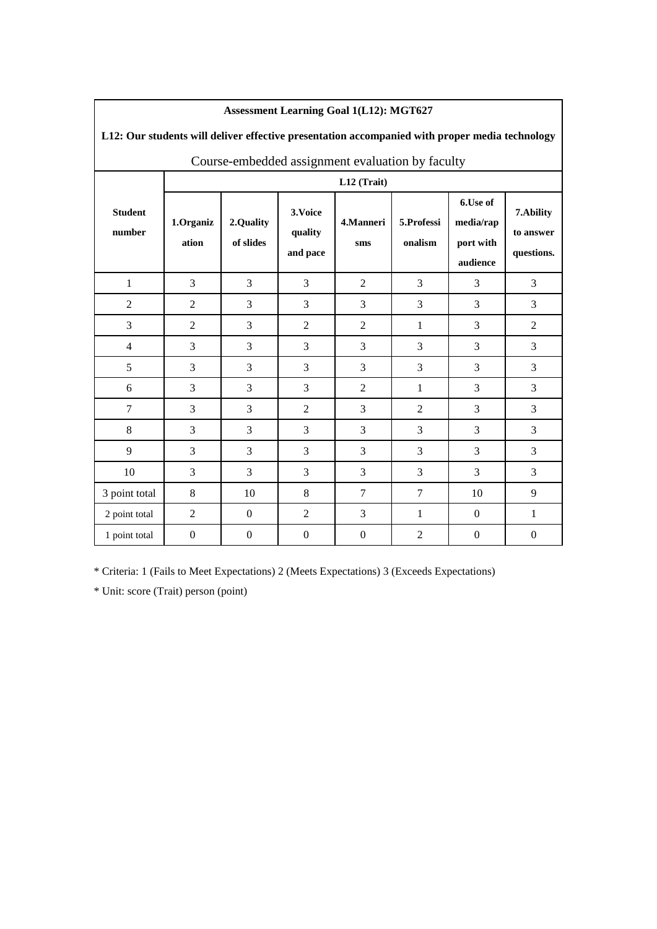| L12: Our students will deliver effective presentation accompanied with proper media technology |                    |                        |                                 |                  |                       |                                                |                                      |  |  |
|------------------------------------------------------------------------------------------------|--------------------|------------------------|---------------------------------|------------------|-----------------------|------------------------------------------------|--------------------------------------|--|--|
| Course-embedded assignment evaluation by faculty                                               |                    |                        |                                 |                  |                       |                                                |                                      |  |  |
|                                                                                                |                    |                        |                                 | L12 (Trait)      |                       |                                                |                                      |  |  |
| <b>Student</b><br>number                                                                       | 1.Organiz<br>ation | 2.Quality<br>of slides | 3. Voice<br>quality<br>and pace | 4.Manneri<br>sms | 5.Professi<br>onalism | 6.Use of<br>media/rap<br>port with<br>audience | 7.Ability<br>to answer<br>questions. |  |  |
| $\mathbf{1}$                                                                                   | 3                  | 3                      | 3                               | $\overline{2}$   | 3                     | 3                                              | 3                                    |  |  |
| $\overline{2}$                                                                                 | $\overline{2}$     | 3                      | 3                               | 3                | 3                     | 3                                              | 3                                    |  |  |
| 3                                                                                              | $\overline{2}$     | 3                      | $\overline{2}$                  | $\overline{2}$   | 1                     | 3                                              | $\overline{2}$                       |  |  |
| $\overline{4}$                                                                                 | 3                  | 3                      | 3                               | 3                | 3                     | 3                                              | 3                                    |  |  |
| 5                                                                                              | 3                  | 3                      | 3                               | 3                | 3                     | 3                                              | 3                                    |  |  |
| 6                                                                                              | 3                  | 3                      | 3                               | $\overline{2}$   | 1                     | 3                                              | 3                                    |  |  |
| $\tau$                                                                                         | 3                  | 3                      | $\overline{2}$                  | 3                | $\overline{2}$        | 3                                              | 3                                    |  |  |
| 8                                                                                              | 3                  | 3                      | 3                               | 3                | 3                     | 3                                              | 3                                    |  |  |
| 9                                                                                              | 3                  | 3                      | 3                               | 3                | 3                     | 3                                              | 3                                    |  |  |
| 10                                                                                             | 3                  | 3                      | 3                               | 3                | 3                     | 3                                              | 3                                    |  |  |
| 3 point total                                                                                  | 8                  | 10                     | 8                               | $\overline{7}$   | $\overline{7}$        | 10                                             | 9                                    |  |  |
| 2 point total                                                                                  | $\overline{2}$     | $\Omega$               | $\overline{2}$                  | 3                | 1                     | $\Omega$                                       | 1                                    |  |  |
| 1 point total                                                                                  | $\boldsymbol{0}$   | $\boldsymbol{0}$       | $\overline{0}$                  | $\mathbf{0}$     | $\overline{2}$        | $\boldsymbol{0}$                               | $\boldsymbol{0}$                     |  |  |

### **Assessment Learning Goal 1(L12): MGT627**

\* Criteria: 1 (Fails to Meet Expectations) 2 (Meets Expectations) 3 (Exceeds Expectations)

\* Unit: score (Trait) person (point)

 $\overline{\phantom{a}}$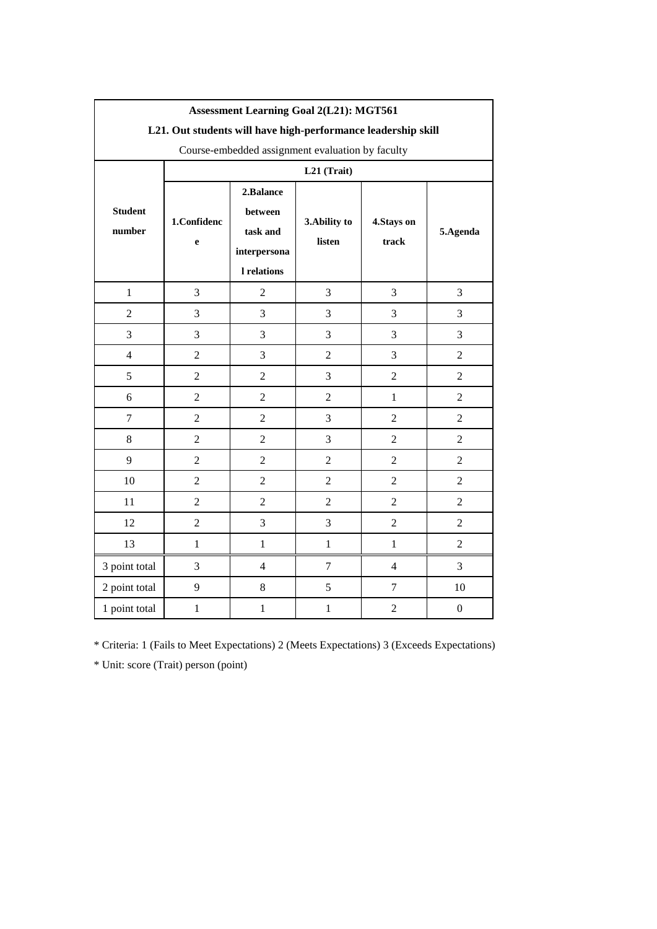|                          | <b>Assessment Learning Goal 2(L21): MGT561</b> |                                                                        |                         |                      |                  |  |
|--------------------------|------------------------------------------------|------------------------------------------------------------------------|-------------------------|----------------------|------------------|--|
|                          |                                                | L21. Out students will have high-performance leadership skill          |                         |                      |                  |  |
|                          |                                                | Course-embedded assignment evaluation by faculty                       |                         |                      |                  |  |
|                          |                                                |                                                                        | L21 (Trait)             |                      |                  |  |
| <b>Student</b><br>number | 1.Confidenc<br>e                               | 2.Balance<br>between<br>task and<br>interpersona<br><b>l</b> relations | 3. Ability to<br>listen | 4. Stays on<br>track | 5.Agenda         |  |
| $\mathbf{1}$             | 3                                              | $\overline{2}$                                                         | 3                       | 3                    | 3                |  |
| $\overline{2}$           | $\overline{3}$                                 | 3                                                                      | 3                       | 3                    | 3                |  |
| 3                        | 3                                              | $\overline{3}$                                                         | 3                       | 3                    | 3                |  |
| $\overline{4}$           | $\overline{2}$                                 | $\overline{3}$                                                         | $\overline{2}$          | 3                    | $\overline{2}$   |  |
| 5                        | $\overline{2}$                                 | $\overline{2}$                                                         | 3                       | $\overline{2}$       | $\overline{2}$   |  |
| 6                        | $\overline{2}$                                 | $\overline{2}$                                                         | $\overline{2}$          | $\mathbf{1}$         | $\overline{2}$   |  |
| $\overline{7}$           | $\overline{2}$                                 | $\overline{2}$                                                         | $\overline{3}$          | $\overline{2}$       | $\overline{2}$   |  |
| 8                        | $\overline{2}$                                 | $\overline{2}$                                                         | 3                       | $\overline{2}$       | $\overline{2}$   |  |
| 9                        | $\overline{2}$                                 | $\overline{2}$                                                         | $\overline{2}$          | $\overline{2}$       | $\overline{2}$   |  |
| 10                       | $\overline{2}$                                 | $\overline{2}$                                                         | $\overline{2}$          | $\overline{2}$       | $\overline{2}$   |  |
| 11                       | $\overline{2}$                                 | $\overline{2}$                                                         | $\overline{2}$          | $\overline{2}$       | $\overline{2}$   |  |
| 12                       | $\overline{2}$                                 | $\overline{3}$                                                         | $\overline{3}$          | $\overline{2}$       | $\overline{2}$   |  |
| 13                       | $\mathbf{1}$                                   | $\mathbf{1}$                                                           | $\mathbf{1}$            | $\mathbf{1}$         | $\overline{2}$   |  |
| 3 point total            | $\overline{3}$                                 | $\overline{4}$                                                         | $\tau$                  | $\overline{4}$       | 3                |  |
| 2 point total            | 9                                              | 8                                                                      | 5                       | $\tau$               | 10               |  |
| 1 point total            | $\mathbf{1}$                                   | $\mathbf{1}$                                                           | $\mathbf{1}$            | $\overline{2}$       | $\boldsymbol{0}$ |  |

# **Assessment Learning Goal 2(L21): MGT561**

\* Criteria: 1 (Fails to Meet Expectations) 2 (Meets Expectations) 3 (Exceeds Expectations)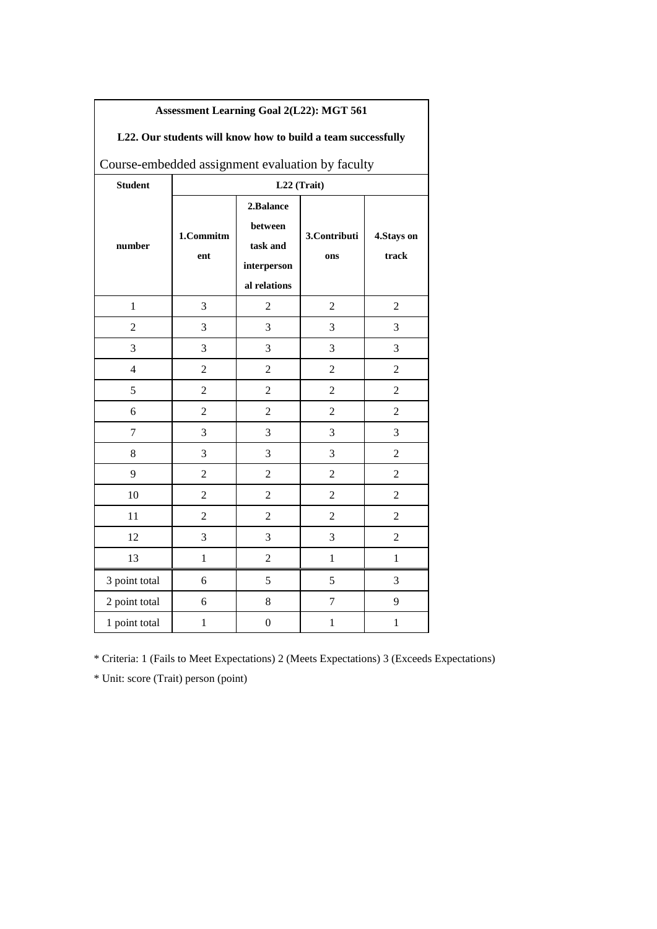| L22. Our students will know how to build a team successfully |                  |                                                                 |                     |                     |  |  |
|--------------------------------------------------------------|------------------|-----------------------------------------------------------------|---------------------|---------------------|--|--|
| Course-embedded assignment evaluation by faculty             |                  |                                                                 |                     |                     |  |  |
| <b>Student</b>                                               |                  |                                                                 | L22 (Trait)         |                     |  |  |
| number                                                       | 1.Commitm<br>ent | 2.Balance<br>between<br>task and<br>interperson<br>al relations | 3.Contributi<br>ons | 4.Stays on<br>track |  |  |
| $\mathbf{1}$                                                 | 3                | $\overline{2}$                                                  | $\overline{2}$      | $\overline{2}$      |  |  |
| $\overline{2}$                                               | 3                | 3                                                               | 3                   | 3                   |  |  |
| 3                                                            | 3                | 3                                                               | 3                   | 3                   |  |  |
| $\overline{4}$                                               | $\overline{2}$   | $\overline{2}$                                                  | $\overline{c}$      | $\overline{2}$      |  |  |
| 5                                                            | $\overline{2}$   | $\overline{2}$                                                  | $\overline{2}$      | $\overline{2}$      |  |  |
| 6                                                            | 2                | 2                                                               | $\overline{2}$      | $\overline{2}$      |  |  |
| 7                                                            | 3                | 3                                                               | 3                   | 3                   |  |  |
| 8                                                            | 3                | 3                                                               | 3                   | $\overline{2}$      |  |  |
| 9                                                            | $\overline{2}$   | $\overline{2}$                                                  | $\overline{2}$      | $\overline{2}$      |  |  |
| 10                                                           | $\overline{2}$   | $\overline{2}$                                                  | $\overline{2}$      | $\overline{2}$      |  |  |
| 11                                                           | $\overline{2}$   | $\overline{2}$                                                  | $\overline{2}$      | $\overline{2}$      |  |  |
| 12                                                           | 3                | 3                                                               | 3                   | $\overline{2}$      |  |  |
| 13                                                           | $\mathbf{1}$     | $\overline{2}$                                                  | $\mathbf{1}$        | $\mathbf{1}$        |  |  |
| 3 point total                                                | 6                | 5                                                               | 5                   | 3                   |  |  |
| 2 point total                                                | 6                | 8                                                               | $\tau$              | 9                   |  |  |
| 1 point total                                                | $\mathbf{1}$     | $\boldsymbol{0}$                                                | 1                   | 1                   |  |  |

# **Assessment Learning Goal 2(L22): MGT 561**

 $\sqrt{ }$ 

\* Criteria: 1 (Fails to Meet Expectations) 2 (Meets Expectations) 3 (Exceeds Expectations)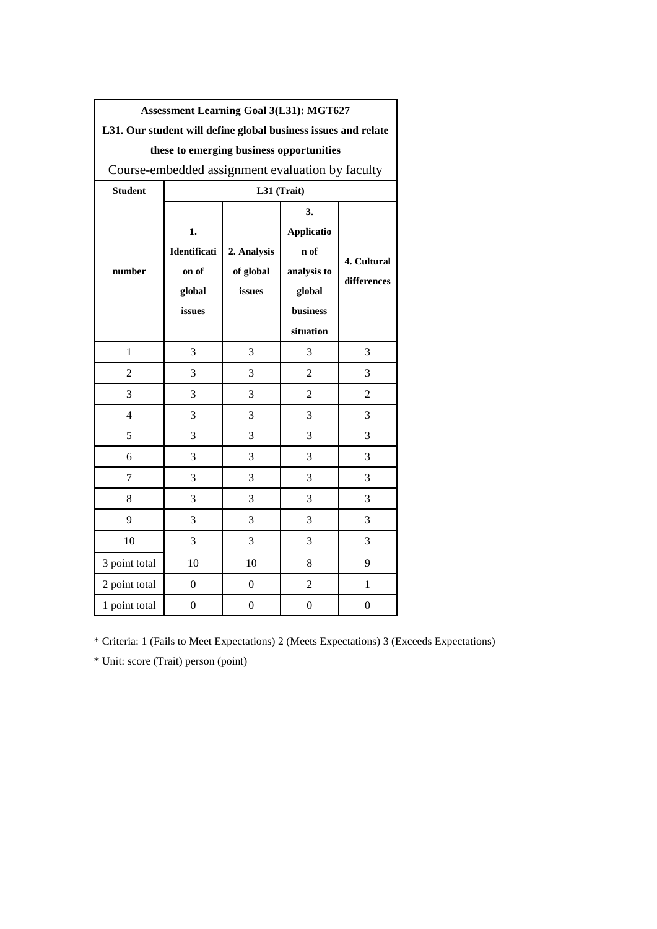|                                                                | <b>Assessment Learning Goal 3(L31): MGT627</b> |                                                  |                   |                  |  |  |  |  |
|----------------------------------------------------------------|------------------------------------------------|--------------------------------------------------|-------------------|------------------|--|--|--|--|
| L31. Our student will define global business issues and relate |                                                |                                                  |                   |                  |  |  |  |  |
|                                                                |                                                | these to emerging business opportunities         |                   |                  |  |  |  |  |
|                                                                |                                                | Course-embedded assignment evaluation by faculty |                   |                  |  |  |  |  |
| <b>Student</b>                                                 |                                                |                                                  | L31 (Trait)       |                  |  |  |  |  |
|                                                                |                                                |                                                  | 3.                |                  |  |  |  |  |
|                                                                | 1.                                             |                                                  | <b>Applicatio</b> |                  |  |  |  |  |
|                                                                | Identificati                                   | 2. Analysis                                      | n of              | 4. Cultural      |  |  |  |  |
| number                                                         | on of                                          | of global                                        | analysis to       | differences      |  |  |  |  |
|                                                                | global                                         | issues                                           | global            |                  |  |  |  |  |
|                                                                | issues                                         |                                                  | business          |                  |  |  |  |  |
|                                                                |                                                | situation                                        |                   |                  |  |  |  |  |
| 1                                                              | 3                                              | 3                                                | 3                 | 3                |  |  |  |  |
| $\overline{2}$                                                 | 3                                              | 3                                                | 2                 | 3                |  |  |  |  |
| 3                                                              | 3                                              | 3                                                | $\overline{2}$    | $\overline{2}$   |  |  |  |  |
| $\overline{4}$                                                 | 3                                              | 3                                                | 3                 | 3                |  |  |  |  |
| 5                                                              | 3                                              | 3                                                | 3                 | 3                |  |  |  |  |
| 6                                                              | 3                                              | 3                                                | 3                 | 3                |  |  |  |  |
| 7                                                              | 3                                              | 3                                                | 3                 | 3                |  |  |  |  |
| 8                                                              | 3                                              | 3                                                | 3                 | 3                |  |  |  |  |
| 9                                                              | 3                                              | 3                                                | 3                 | 3                |  |  |  |  |
| 10                                                             | 3                                              | 3                                                | 3                 | 3                |  |  |  |  |
| 3 point total                                                  | 10                                             | 10                                               | 8                 | 9                |  |  |  |  |
| 2 point total                                                  | 0                                              | $\boldsymbol{0}$                                 | $\overline{2}$    | 1                |  |  |  |  |
| 1 point total                                                  | $\boldsymbol{0}$                               | $\boldsymbol{0}$                                 | $\boldsymbol{0}$  | $\boldsymbol{0}$ |  |  |  |  |

\* Criteria: 1 (Fails to Meet Expectations) 2 (Meets Expectations) 3 (Exceeds Expectations)

\* Unit: score (Trait) person (point)

 $\sqrt{ }$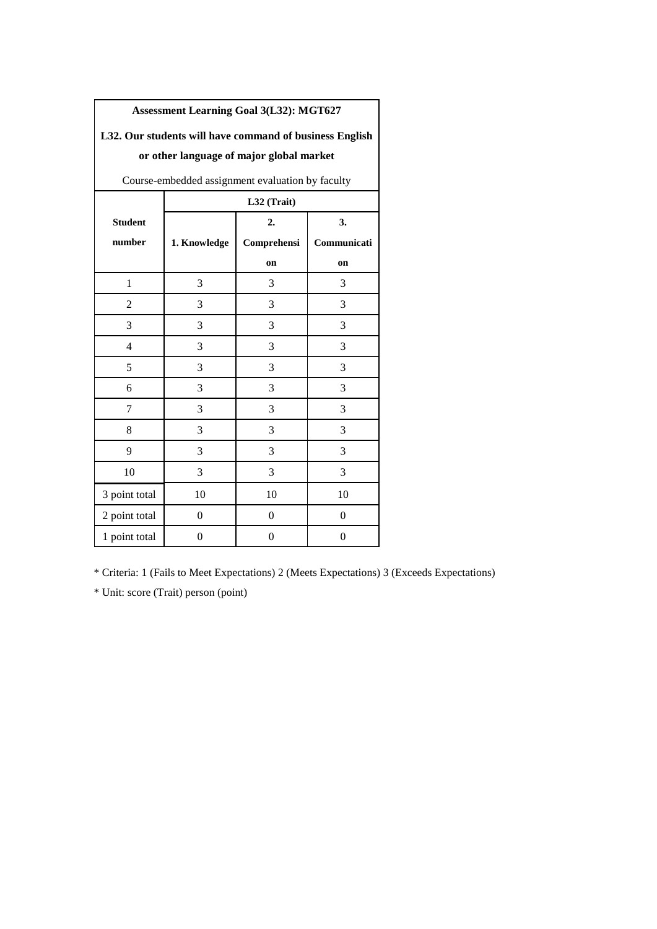| L32. Our students will have command of business English |                  |                |                |  |  |  |  |
|---------------------------------------------------------|------------------|----------------|----------------|--|--|--|--|
| or other language of major global market                |                  |                |                |  |  |  |  |
| Course-embedded assignment evaluation by faculty        |                  |                |                |  |  |  |  |
|                                                         | L32 (Trait)      |                |                |  |  |  |  |
| <b>Student</b>                                          |                  | 2.             | 3.             |  |  |  |  |
| number                                                  | 1. Knowledge     | Comprehensi    | Communicati    |  |  |  |  |
|                                                         |                  | on             | on             |  |  |  |  |
| $\mathbf{1}$                                            | 3                | 3              | 3              |  |  |  |  |
| $\overline{c}$                                          | 3                | 3              | 3              |  |  |  |  |
| 3                                                       | 3                | 3              | 3              |  |  |  |  |
| $\overline{4}$                                          | 3                | 3              | 3              |  |  |  |  |
| 5                                                       | 3                | 3              | 3              |  |  |  |  |
| 6                                                       | 3                | 3              | 3              |  |  |  |  |
| 7                                                       | 3                | 3              | 3              |  |  |  |  |
| 8                                                       | 3                | 3              | 3              |  |  |  |  |
| 9                                                       | 3                | 3              | 3              |  |  |  |  |
| 10                                                      | 3                | 3              | 3              |  |  |  |  |
| 3 point total                                           | 10               | 10             | 10             |  |  |  |  |
| 2 point total                                           | $\overline{0}$   | $\overline{0}$ | $\overline{0}$ |  |  |  |  |
| 1 point total                                           | $\boldsymbol{0}$ | $\overline{0}$ | $\overline{0}$ |  |  |  |  |

**Assessment Learning Goal 3(L32): MGT627** 

# **L32. Our students will have command of business English**

\* Criteria: 1 (Fails to Meet Expectations) 2 (Meets Expectations) 3 (Exceeds Expectations)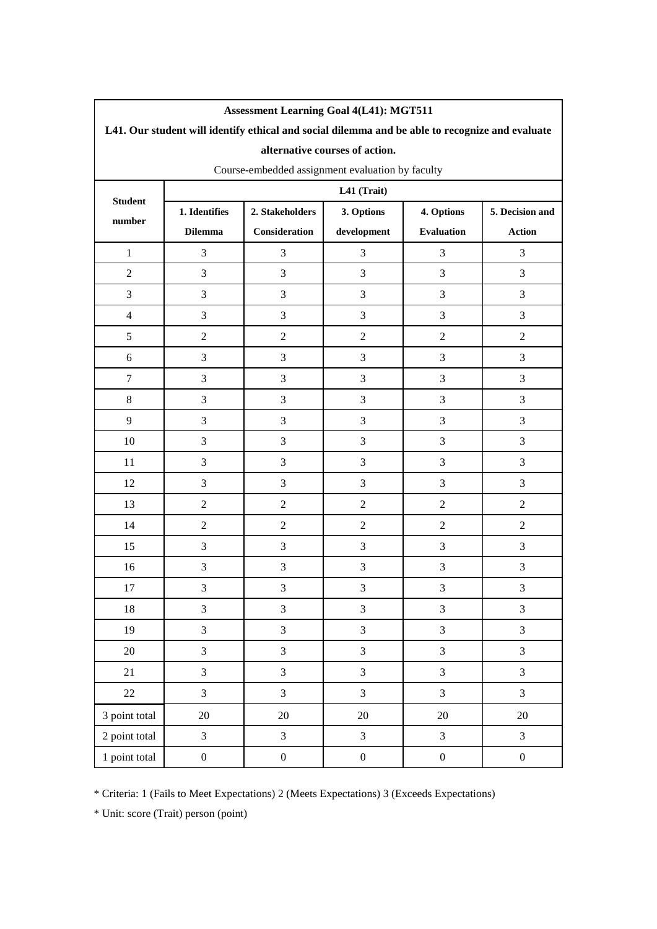| <b>Assessment Learning Goal 4(L41): MGT511</b>                                                  |                  |                               |                         |                   |                  |  |  |  |  |
|-------------------------------------------------------------------------------------------------|------------------|-------------------------------|-------------------------|-------------------|------------------|--|--|--|--|
| L41. Our student will identify ethical and social dilemma and be able to recognize and evaluate |                  |                               |                         |                   |                  |  |  |  |  |
| alternative courses of action.                                                                  |                  |                               |                         |                   |                  |  |  |  |  |
| Course-embedded assignment evaluation by faculty                                                |                  |                               |                         |                   |                  |  |  |  |  |
| <b>Student</b>                                                                                  | L41 (Trait)      |                               |                         |                   |                  |  |  |  |  |
| number                                                                                          | 1. Identifies    | 2. Stakeholders<br>3. Options |                         | 4. Options        | 5. Decision and  |  |  |  |  |
|                                                                                                 | <b>Dilemma</b>   | Consideration                 | development             | <b>Evaluation</b> | <b>Action</b>    |  |  |  |  |
| $\mathbf{1}$                                                                                    | 3                | 3                             | 3                       | 3                 | 3                |  |  |  |  |
| $\overline{c}$                                                                                  | 3                | $\mathfrak{Z}$                | 3                       | 3                 | 3                |  |  |  |  |
| 3                                                                                               | $\mathfrak{Z}$   | 3                             | 3                       | 3                 | 3                |  |  |  |  |
| $\overline{4}$                                                                                  | 3                | $\mathfrak{Z}$                | 3                       | 3                 | 3                |  |  |  |  |
| 5                                                                                               | $\overline{2}$   | $\mathfrak{2}$                | $\overline{2}$          | $\overline{2}$    | $\overline{c}$   |  |  |  |  |
| 6                                                                                               | 3                | $\mathfrak{Z}$                | 3                       | 3                 | 3                |  |  |  |  |
| $\tau$                                                                                          | 3                | $\mathfrak 3$                 | 3                       | 3                 | 3                |  |  |  |  |
| $8\,$                                                                                           | 3                | $\mathfrak{Z}$                | 3                       | 3                 | 3                |  |  |  |  |
| 9                                                                                               | 3                | 3                             | 3                       | 3                 | 3                |  |  |  |  |
| 10                                                                                              | 3                | $\mathfrak{Z}$                | 3                       | 3                 | 3                |  |  |  |  |
| 11                                                                                              | $\mathfrak{Z}$   | $\ensuremath{\mathfrak{Z}}$   | 3                       | 3                 | 3                |  |  |  |  |
| 12                                                                                              | 3                | 3                             | 3                       | 3                 | 3                |  |  |  |  |
| 13                                                                                              | $\boldsymbol{2}$ | $\sqrt{2}$                    | $\sqrt{2}$              | $\overline{c}$    | $\overline{c}$   |  |  |  |  |
| 14                                                                                              | $\mathbf{2}$     | $\sqrt{2}$                    | $\overline{2}$          | $\overline{c}$    | $\overline{2}$   |  |  |  |  |
| 15                                                                                              | $\mathfrak{Z}$   | 3                             | 3                       | 3                 | 3                |  |  |  |  |
| 16                                                                                              | $\mathfrak{Z}$   | $\mathfrak 3$                 | 3                       | $\mathfrak{Z}$    | 3                |  |  |  |  |
| 17                                                                                              | $\mathfrak{Z}$   | $\mathfrak{Z}$                | 3                       | 3                 | 3                |  |  |  |  |
| 18                                                                                              | 3                | 3                             | 3                       | 3                 | 3                |  |  |  |  |
| 19                                                                                              | $\mathfrak{Z}$   | $\mathfrak{Z}$                | 3                       | 3                 | 3                |  |  |  |  |
| 20                                                                                              | $\overline{3}$   | $\overline{3}$                | $\overline{\mathbf{3}}$ | $\mathfrak{Z}$    | $\overline{3}$   |  |  |  |  |
| 21                                                                                              | $\mathfrak{Z}$   | $\mathfrak{Z}$                | 3                       | 3                 | 3                |  |  |  |  |
| 22                                                                                              | 3                | $\mathfrak{Z}$                | $\overline{3}$          | $\overline{3}$    | 3                |  |  |  |  |
| 3 point total                                                                                   | 20               | $20\,$                        | 20                      | 20                | $20\,$           |  |  |  |  |
| 2 point total                                                                                   | 3                | $\overline{3}$                | $\overline{3}$          | $\overline{3}$    | 3                |  |  |  |  |
| 1 point total                                                                                   | $\boldsymbol{0}$ | $\boldsymbol{0}$              | $\boldsymbol{0}$        | $\boldsymbol{0}$  | $\boldsymbol{0}$ |  |  |  |  |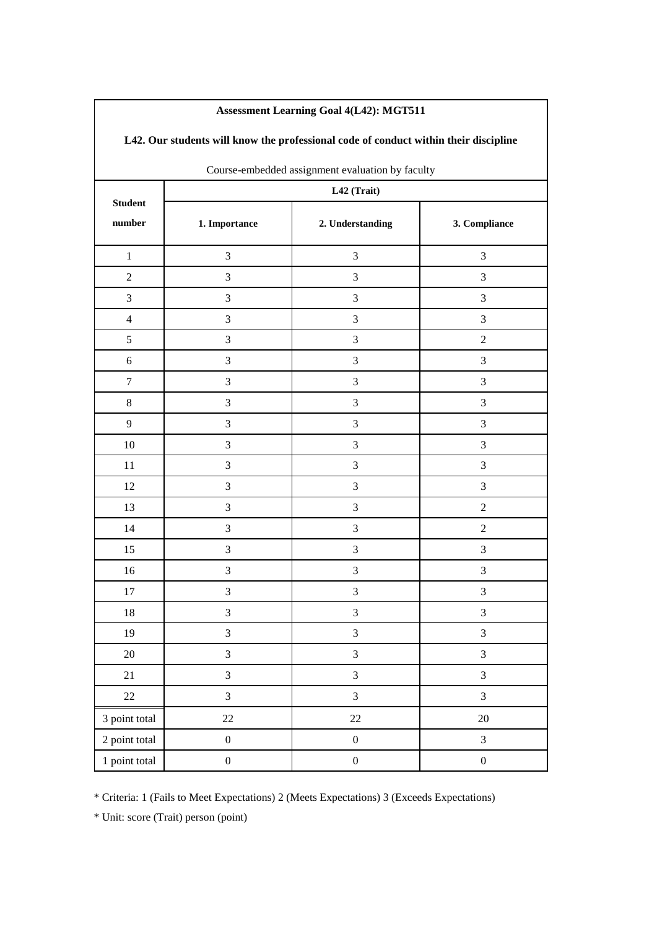| L42. Our students will know the professional code of conduct within their discipline |                                                  |                  |                             |  |  |  |  |  |
|--------------------------------------------------------------------------------------|--------------------------------------------------|------------------|-----------------------------|--|--|--|--|--|
|                                                                                      | Course-embedded assignment evaluation by faculty |                  |                             |  |  |  |  |  |
| <b>Student</b>                                                                       | L42 (Trait)                                      |                  |                             |  |  |  |  |  |
| number                                                                               | 1. Importance                                    | 2. Understanding | 3. Compliance               |  |  |  |  |  |
| $\mathbf{1}$                                                                         | $\mathfrak{Z}$                                   | $\mathfrak{Z}$   | $\mathfrak{Z}$              |  |  |  |  |  |
| $\boldsymbol{2}$                                                                     | $\mathfrak{Z}$                                   | 3                | $\mathfrak{Z}$              |  |  |  |  |  |
| $\mathfrak{Z}$                                                                       | $\mathfrak{Z}$                                   | 3                | $\mathfrak{Z}$              |  |  |  |  |  |
| $\overline{4}$                                                                       | $\ensuremath{\mathfrak{Z}}$                      | $\mathfrak 3$    | $\mathfrak{Z}$              |  |  |  |  |  |
| 5                                                                                    | $\mathfrak{Z}$                                   | 3                | $\sqrt{2}$                  |  |  |  |  |  |
| $\sqrt{6}$                                                                           | $\mathfrak{Z}$                                   | 3                | $\mathfrak{Z}$              |  |  |  |  |  |
| $\boldsymbol{7}$                                                                     | $\mathfrak{Z}$                                   | 3                | $\mathfrak{Z}$              |  |  |  |  |  |
| 8                                                                                    | $\mathfrak{Z}$                                   | 3                | $\mathfrak{Z}$              |  |  |  |  |  |
| 9                                                                                    | 3                                                | 3                | $\mathfrak{Z}$              |  |  |  |  |  |
| $10\,$                                                                               | $\ensuremath{\mathfrak{Z}}$                      | $\mathfrak{Z}$   | $\ensuremath{\mathfrak{Z}}$ |  |  |  |  |  |
| 11                                                                                   | $\mathfrak{Z}$                                   | 3                | $\mathfrak{Z}$              |  |  |  |  |  |
| 12                                                                                   | $\mathfrak{Z}$                                   | 3                | $\mathfrak{Z}$              |  |  |  |  |  |
| 13                                                                                   | $\mathfrak{Z}$                                   | 3                | $\sqrt{2}$                  |  |  |  |  |  |
| 14                                                                                   | 3                                                | 3                | $\boldsymbol{2}$            |  |  |  |  |  |
| 15                                                                                   | $\mathfrak{Z}$                                   | 3                | $\mathfrak{Z}$              |  |  |  |  |  |
| 16                                                                                   | $\mathfrak{Z}$                                   | $\mathfrak{Z}$   | $\mathfrak{Z}$              |  |  |  |  |  |
| 17                                                                                   | $\mathfrak{Z}$                                   | $\mathfrak{Z}$   | $\mathfrak{Z}$              |  |  |  |  |  |
| $18\,$                                                                               | $\mathfrak{Z}$                                   | $\mathfrak{Z}$   | $\mathfrak{Z}$              |  |  |  |  |  |
| 19                                                                                   | $\mathfrak{Z}$                                   | $\overline{3}$   | $\mathfrak{Z}$              |  |  |  |  |  |
| $20\,$                                                                               | $\overline{3}$                                   | $\overline{3}$   | $\mathfrak{Z}$              |  |  |  |  |  |
| $21\,$                                                                               | $\mathfrak{Z}$                                   | $\overline{3}$   | $\mathfrak{Z}$              |  |  |  |  |  |
| 22                                                                                   | 3                                                | $\overline{3}$   | $\mathfrak{Z}$              |  |  |  |  |  |
| 3 point total                                                                        | $22\,$                                           | 22               | $20\,$                      |  |  |  |  |  |
| 2 point total                                                                        | $\boldsymbol{0}$                                 | $\boldsymbol{0}$ | $\mathfrak{Z}$              |  |  |  |  |  |
| 1 point total                                                                        | $\boldsymbol{0}$                                 | $\boldsymbol{0}$ | $\boldsymbol{0}$            |  |  |  |  |  |

### **Assessment Learning Goal 4(L42): MGT511**

 $\mathbf l$ 

\* Criteria: 1 (Fails to Meet Expectations) 2 (Meets Expectations) 3 (Exceeds Expectations)

\* Unit: score (Trait) person (point)

 $\sqrt{ }$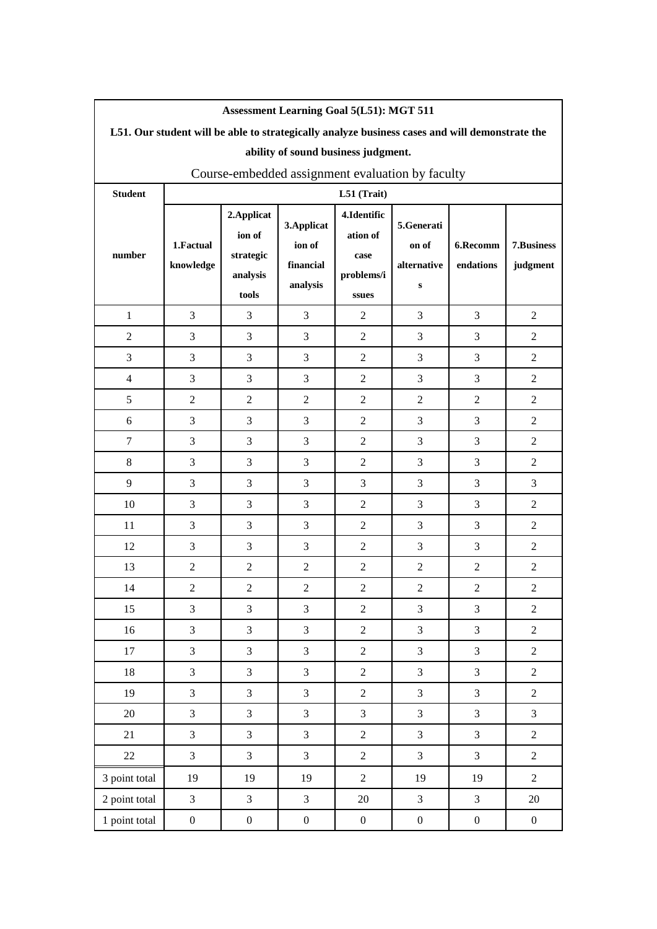| <b>Assessment Learning Goal 5(L51): MGT 511</b>                                                |                        |                                                         |                                                |                                                        |                                         |                       |                        |  |  |  |
|------------------------------------------------------------------------------------------------|------------------------|---------------------------------------------------------|------------------------------------------------|--------------------------------------------------------|-----------------------------------------|-----------------------|------------------------|--|--|--|
| L51. Our student will be able to strategically analyze business cases and will demonstrate the |                        |                                                         |                                                |                                                        |                                         |                       |                        |  |  |  |
| ability of sound business judgment.                                                            |                        |                                                         |                                                |                                                        |                                         |                       |                        |  |  |  |
| Course-embedded assignment evaluation by faculty                                               |                        |                                                         |                                                |                                                        |                                         |                       |                        |  |  |  |
| <b>Student</b>                                                                                 |                        |                                                         |                                                | L51 (Trait)                                            |                                         |                       |                        |  |  |  |
| number                                                                                         | 1.Factual<br>knowledge | 2. Applicat<br>ion of<br>strategic<br>analysis<br>tools | 3. Applicat<br>ion of<br>financial<br>analysis | 4.Identific<br>ation of<br>case<br>problems/i<br>ssues | 5.Generati<br>on of<br>alternative<br>s | 6.Recomm<br>endations | 7.Business<br>judgment |  |  |  |
| $\mathbf{1}$                                                                                   | $\mathfrak{Z}$         | 3                                                       | 3                                              | $\overline{2}$                                         | 3                                       | 3                     | $\overline{2}$         |  |  |  |
| $\mathfrak 2$                                                                                  | 3                      | 3                                                       | 3                                              | $\mathbf{2}$                                           | 3                                       | 3                     | $\overline{c}$         |  |  |  |
| $\mathfrak{Z}$                                                                                 | 3                      | 3                                                       | 3                                              | $\overline{2}$                                         | 3                                       | 3                     | $\mathbf{2}$           |  |  |  |
| $\overline{4}$                                                                                 | 3                      | 3                                                       | 3                                              | $\overline{2}$                                         | 3                                       | 3                     | $\overline{2}$         |  |  |  |
| 5                                                                                              | $\overline{2}$         | $\overline{2}$                                          | $\overline{2}$                                 | $\overline{2}$                                         | $\overline{2}$                          | $\overline{2}$        | $\overline{2}$         |  |  |  |
| $\sqrt{6}$                                                                                     | $\mathfrak{Z}$         | 3                                                       | 3                                              | $\overline{2}$                                         | 3                                       | 3                     | $\overline{c}$         |  |  |  |
| $\tau$                                                                                         | 3                      | 3                                                       | 3                                              | $\overline{2}$                                         | 3                                       | 3                     | $\overline{c}$         |  |  |  |
| $8\,$                                                                                          | 3                      | 3                                                       | 3                                              | $\mathbf{2}$                                           | 3                                       | 3                     | $\overline{2}$         |  |  |  |
| 9                                                                                              | 3                      | 3                                                       | 3                                              | 3                                                      | 3                                       | 3                     | 3                      |  |  |  |
| 10                                                                                             | 3                      | 3                                                       | 3                                              | $\overline{2}$                                         | 3                                       | 3                     | 2                      |  |  |  |
| 11                                                                                             | 3                      | 3                                                       | 3                                              | $\overline{2}$                                         | 3                                       | 3                     | $\overline{c}$         |  |  |  |
| 12                                                                                             | 3                      | 3                                                       | 3                                              | $\overline{2}$                                         | 3                                       | 3                     | $\mathbf{2}$           |  |  |  |
| 13                                                                                             | $\overline{c}$         | $\overline{2}$                                          | $\overline{2}$                                 | $\mathbf{2}$                                           | $\overline{2}$                          | $\overline{2}$        | $\overline{2}$         |  |  |  |
| 14                                                                                             | $\overline{c}$         | $\overline{c}$                                          | $\overline{c}$                                 | $\mathbf{2}$                                           | $\overline{c}$                          | $\boldsymbol{2}$      | $\mathbf{2}$           |  |  |  |
| 15                                                                                             | $\mathfrak{Z}$         | 3                                                       | 3                                              | $\sqrt{2}$                                             | 3                                       | $\mathfrak{Z}$        | $\mathbf{2}$           |  |  |  |
| 16                                                                                             | $\overline{3}$         | 3                                                       | 3                                              | $\overline{2}$                                         | 3                                       | $\overline{3}$        | $\overline{2}$         |  |  |  |
| $17\,$                                                                                         | 3                      | 3                                                       | 3                                              | $\overline{2}$                                         | 3                                       | $\overline{3}$        | $\overline{2}$         |  |  |  |
| $18\,$                                                                                         | $\overline{3}$         | $\overline{3}$                                          | 3                                              | $\overline{c}$                                         | 3                                       | $\overline{3}$        | $\overline{2}$         |  |  |  |
| 19                                                                                             | 3                      | 3                                                       | 3                                              | $\overline{c}$                                         | $\overline{3}$                          | $\overline{3}$        | $\boldsymbol{2}$       |  |  |  |
| 20                                                                                             | 3                      | 3                                                       | 3                                              | 3                                                      | 3                                       | $\overline{3}$        | 3                      |  |  |  |
| 21                                                                                             | 3                      | 3                                                       | $\overline{3}$                                 | $\boldsymbol{2}$                                       | 3                                       | $\overline{3}$        | $\sqrt{2}$             |  |  |  |
| 22                                                                                             | $\overline{3}$         | $\mathfrak{Z}$                                          | $\overline{3}$                                 | $\overline{c}$                                         | 3                                       | $\overline{3}$        | $\overline{2}$         |  |  |  |
| 3 point total                                                                                  | 19                     | 19                                                      | 19                                             | $\overline{c}$                                         | 19                                      | 19                    | $\overline{2}$         |  |  |  |
| 2 point total                                                                                  | $\overline{3}$         | 3                                                       | 3                                              | 20                                                     | $\mathfrak{Z}$                          | $\overline{3}$        | 20                     |  |  |  |
| 1 point total                                                                                  | $\boldsymbol{0}$       | $\boldsymbol{0}$                                        | $\boldsymbol{0}$                               | $\boldsymbol{0}$                                       | $\boldsymbol{0}$                        | $\boldsymbol{0}$      | $\boldsymbol{0}$       |  |  |  |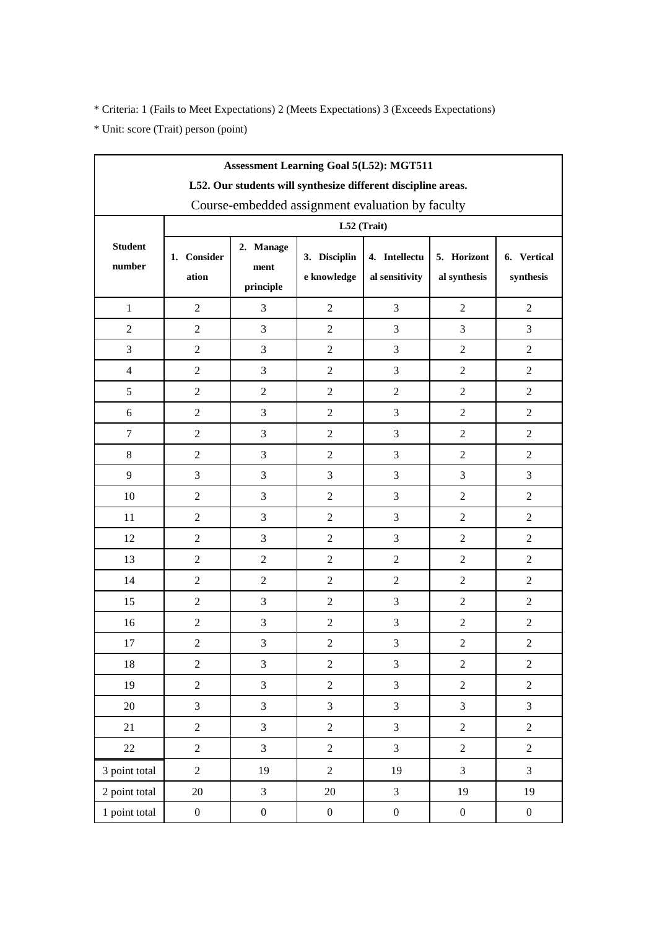| <b>Assessment Learning Goal 5(L52): MGT511</b>                |                      |                                                               |                  |                                 |                             |                          |  |  |  |  |  |
|---------------------------------------------------------------|----------------------|---------------------------------------------------------------|------------------|---------------------------------|-----------------------------|--------------------------|--|--|--|--|--|
| L52. Our students will synthesize different discipline areas. |                      |                                                               |                  |                                 |                             |                          |  |  |  |  |  |
| Course-embedded assignment evaluation by faculty              |                      |                                                               |                  |                                 |                             |                          |  |  |  |  |  |
|                                                               | L52 (Trait)          |                                                               |                  |                                 |                             |                          |  |  |  |  |  |
| <b>Student</b><br>number                                      | 1. Consider<br>ation | 2. Manage<br>3. Disciplin<br>ment<br>e knowledge<br>principle |                  | 4. Intellectu<br>al sensitivity | 5. Horizont<br>al synthesis | 6. Vertical<br>synthesis |  |  |  |  |  |
| $\mathbf{1}$                                                  | $\overline{2}$       | 3                                                             | $\overline{2}$   | 3                               | $\overline{2}$              | $\overline{2}$           |  |  |  |  |  |
| $\overline{c}$                                                | $\mathbf{2}$         | 3                                                             | $\overline{2}$   | 3                               | 3                           | 3                        |  |  |  |  |  |
| 3                                                             | $\overline{2}$       | 3                                                             | $\overline{2}$   | $\mathfrak{Z}$                  | $\overline{2}$              | $\overline{2}$           |  |  |  |  |  |
| $\overline{4}$                                                | $\overline{2}$       | 3                                                             | $\overline{2}$   | 3                               | $\overline{2}$              | $\overline{2}$           |  |  |  |  |  |
| 5                                                             | $\overline{2}$       | $\overline{2}$                                                | $\overline{2}$   | $\boldsymbol{2}$                | $\overline{2}$              | $\overline{2}$           |  |  |  |  |  |
| 6                                                             | $\overline{2}$       | 3                                                             | $\overline{2}$   | 3                               | $\overline{2}$              | $\overline{2}$           |  |  |  |  |  |
| $\tau$                                                        | $\overline{2}$       | 3                                                             | $\overline{2}$   | 3                               | $\overline{2}$              | $\overline{2}$           |  |  |  |  |  |
| 8                                                             | $\sqrt{2}$           | 3                                                             | $\overline{2}$   | 3                               | $\sqrt{2}$                  | $\overline{c}$           |  |  |  |  |  |
| 9                                                             | 3                    | 3                                                             | 3                | $\mathfrak{Z}$                  | $\mathfrak{Z}$              | 3                        |  |  |  |  |  |
| 10                                                            | $\overline{2}$       | 3                                                             | $\overline{2}$   | $\mathfrak{Z}$                  | $\overline{2}$              | $\overline{2}$           |  |  |  |  |  |
| 11                                                            | $\overline{2}$       | 3                                                             | $\overline{2}$   | $\mathfrak 3$                   | $\overline{2}$              | $\overline{c}$           |  |  |  |  |  |
| 12                                                            | $\overline{2}$       | 3                                                             | $\overline{2}$   | $\mathfrak{Z}$                  | $\overline{2}$              | $\overline{2}$           |  |  |  |  |  |
| 13                                                            | $\overline{2}$       | $\overline{2}$                                                | $\overline{2}$   | $\overline{2}$                  | $\overline{2}$              | $\overline{2}$           |  |  |  |  |  |
| 14                                                            | $\boldsymbol{2}$     | $\overline{c}$                                                | $\overline{2}$   | $\sqrt{2}$                      | $\boldsymbol{2}$            | $\overline{2}$           |  |  |  |  |  |
| 15                                                            | $\overline{2}$       | 3                                                             | $\overline{2}$   | $\mathfrak{Z}$                  | $\overline{2}$              | $\overline{2}$           |  |  |  |  |  |
| 16                                                            | $\overline{2}$       | 3                                                             | $\overline{2}$   | $\mathfrak 3$                   | $\overline{2}$              | $\overline{2}$           |  |  |  |  |  |
| 17                                                            | $\sqrt{2}$           | 3                                                             | $\overline{2}$   | $\mathfrak{Z}$                  | $\sqrt{2}$                  | $\overline{c}$           |  |  |  |  |  |
| $18\,$                                                        | $\sqrt{2}$           | 3                                                             | $\overline{c}$   | $\mathfrak{Z}$                  | $\sqrt{2}$                  | $\overline{2}$           |  |  |  |  |  |
| 19                                                            | $\sqrt{2}$           | $\overline{3}$                                                | $\overline{c}$   | $\mathfrak{Z}$                  | $\overline{2}$              | $\overline{2}$           |  |  |  |  |  |
| $20\,$                                                        | 3                    | 3                                                             | 3                | 3                               | $\mathfrak{Z}$              | $\overline{3}$           |  |  |  |  |  |
| 21                                                            | $\sqrt{2}$           | 3                                                             | $\overline{2}$   | 3                               | $\sqrt{2}$                  | $\overline{2}$           |  |  |  |  |  |
| 22                                                            | $\sqrt{2}$           | 3                                                             | $\overline{c}$   | 3                               | $\overline{2}$              | $\overline{2}$           |  |  |  |  |  |
| 3 point total                                                 | $\sqrt{2}$           | 19                                                            | $\overline{c}$   | 19                              | $\overline{3}$              | $\overline{3}$           |  |  |  |  |  |
| 2 point total                                                 | $20\,$               | $\overline{3}$                                                | $20\,$           | $\mathfrak{Z}$                  | 19                          | 19                       |  |  |  |  |  |
| 1 point total                                                 | $\boldsymbol{0}$     | $\boldsymbol{0}$                                              | $\boldsymbol{0}$ | $\boldsymbol{0}$                | $\boldsymbol{0}$            | $\boldsymbol{0}$         |  |  |  |  |  |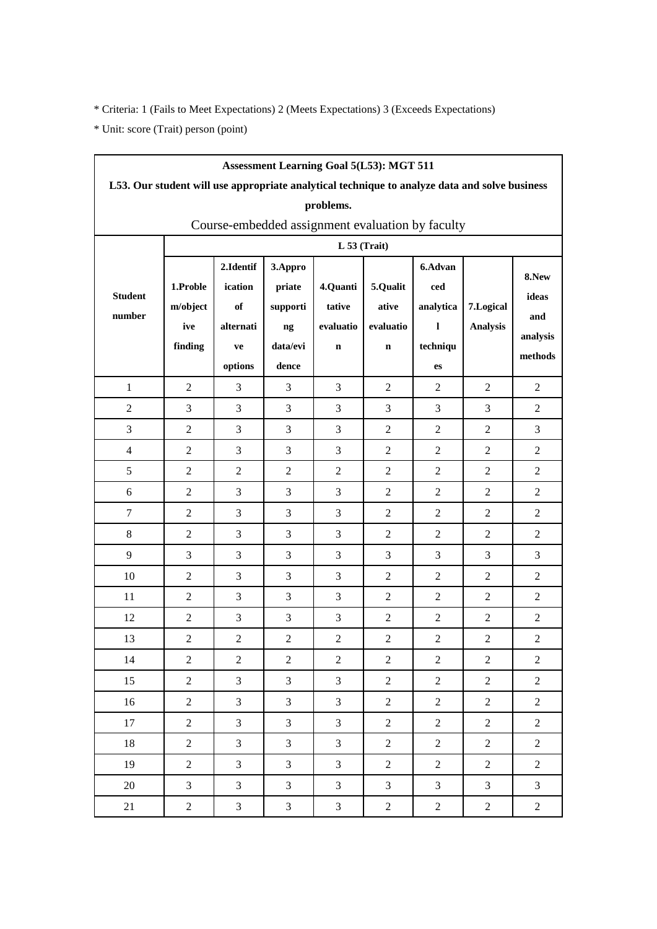| <b>Assessment Learning Goal 5(L53): MGT 511</b>  |                                                                                               |                |                |                |                |                  |                 |                |  |  |  |
|--------------------------------------------------|-----------------------------------------------------------------------------------------------|----------------|----------------|----------------|----------------|------------------|-----------------|----------------|--|--|--|
|                                                  | L53. Our student will use appropriate analytical technique to analyze data and solve business |                |                |                |                |                  |                 |                |  |  |  |
|                                                  | problems.                                                                                     |                |                |                |                |                  |                 |                |  |  |  |
| Course-embedded assignment evaluation by faculty |                                                                                               |                |                |                |                |                  |                 |                |  |  |  |
|                                                  | L 53 (Trait)                                                                                  |                |                |                |                |                  |                 |                |  |  |  |
|                                                  |                                                                                               | 2.Identif      | 3.Appro        |                |                | 6.Advan          |                 | 8.New          |  |  |  |
| <b>Student</b>                                   | 1.Proble                                                                                      | ication        | priate         | 4.Quanti       | 5.Qualit       | ced              |                 | ideas          |  |  |  |
| number                                           | m/object                                                                                      | of             | supporti       | tative         | ative          | analytica        | 7.Logical       | and            |  |  |  |
|                                                  | ive                                                                                           | alternati      | ng             | evaluatio      | evaluatio      | 1                | <b>Analysis</b> | analysis       |  |  |  |
|                                                  | finding                                                                                       | ve             | data/evi       | $\mathbf n$    | $\mathbf n$    | techniqu         |                 | methods        |  |  |  |
|                                                  |                                                                                               | options        | dence          |                |                | es               |                 |                |  |  |  |
| $\mathbf{1}$                                     | $\overline{2}$                                                                                | 3              | 3              | 3              | $\overline{2}$ | $\overline{2}$   | $\overline{2}$  | $\overline{2}$ |  |  |  |
| $\overline{2}$                                   | 3                                                                                             | 3              | 3              | 3              | 3              | 3                | 3               | 2              |  |  |  |
| 3                                                | $\overline{2}$                                                                                | 3              | 3              | 3              | $\overline{2}$ | $\overline{2}$   | $\mathfrak{2}$  | 3              |  |  |  |
| $\overline{4}$                                   | $\overline{2}$                                                                                | 3              | 3              | 3              | $\overline{c}$ | $\overline{2}$   | $\overline{2}$  | $\overline{2}$ |  |  |  |
| 5                                                | 2                                                                                             | $\overline{2}$ | $\overline{2}$ | $\overline{2}$ | 2              | $\overline{2}$   | 2               | 2              |  |  |  |
| 6                                                | $\overline{2}$                                                                                | 3              | 3              | 3              | $\overline{2}$ | $\overline{2}$   | 2               | $\overline{2}$ |  |  |  |
| $\tau$                                           | $\overline{2}$                                                                                | 3              | 3              | 3              | $\overline{2}$ | $\overline{2}$   | $\overline{2}$  | $\overline{2}$ |  |  |  |
| 8                                                | 2                                                                                             | 3              | 3              | 3              | 2              | 2                | 2               | 2              |  |  |  |
| 9                                                | 3                                                                                             | 3              | 3              | 3              | 3              | 3                | 3               | 3              |  |  |  |
| 10                                               | $\overline{2}$                                                                                | 3              | 3              | 3              | $\overline{c}$ | $\overline{2}$   | $\overline{2}$  | $\overline{2}$ |  |  |  |
| 11                                               | 2                                                                                             | 3              | 3              | 3              | 2              | 2                | 2               | 2              |  |  |  |
| 12                                               | $\overline{2}$                                                                                | 3              | 3              | 3              | $\overline{2}$ | $\overline{2}$   | $\overline{2}$  | $\overline{2}$ |  |  |  |
| 13                                               | $\overline{c}$                                                                                | $\overline{2}$ | $\overline{c}$ | $\overline{2}$ | $\overline{c}$ | $\overline{2}$   | $\overline{c}$  | $\overline{2}$ |  |  |  |
| 14                                               | $\overline{2}$                                                                                | $\overline{c}$ | $\overline{c}$ | $\overline{2}$ | $\overline{2}$ | $\boldsymbol{2}$ | $\overline{2}$  | $\overline{2}$ |  |  |  |
| 15                                               | $\overline{2}$                                                                                | $\overline{3}$ | $\overline{3}$ | $\overline{3}$ | $\overline{2}$ | $\overline{2}$   | $\overline{2}$  | $\overline{2}$ |  |  |  |
| 16                                               | $\overline{2}$                                                                                | 3              | 3              | 3              | $\overline{2}$ | $\overline{2}$   | $\overline{2}$  | $\overline{2}$ |  |  |  |
| 17                                               | $\overline{2}$                                                                                | 3              | 3              | 3              | $\overline{2}$ | $\overline{2}$   | $\overline{2}$  | $\overline{2}$ |  |  |  |
| 18                                               | $\overline{2}$                                                                                | $\overline{3}$ | $\overline{3}$ | $\overline{3}$ | $\overline{2}$ | $\sqrt{2}$       | $\overline{2}$  | $\overline{2}$ |  |  |  |
| 19                                               | $\overline{2}$                                                                                | 3              | $\mathfrak{Z}$ | $\mathfrak{Z}$ | $\overline{c}$ | $\overline{2}$   | $\overline{2}$  | $\overline{2}$ |  |  |  |
| 20                                               | 3                                                                                             | 3              | 3              | 3              | $\overline{3}$ | 3                | 3               | 3              |  |  |  |
| 21                                               | $\overline{2}$                                                                                | 3              | $\mathfrak{Z}$ | $\mathfrak{Z}$ | $\overline{2}$ | $\overline{2}$   | $\overline{2}$  | $\overline{c}$ |  |  |  |